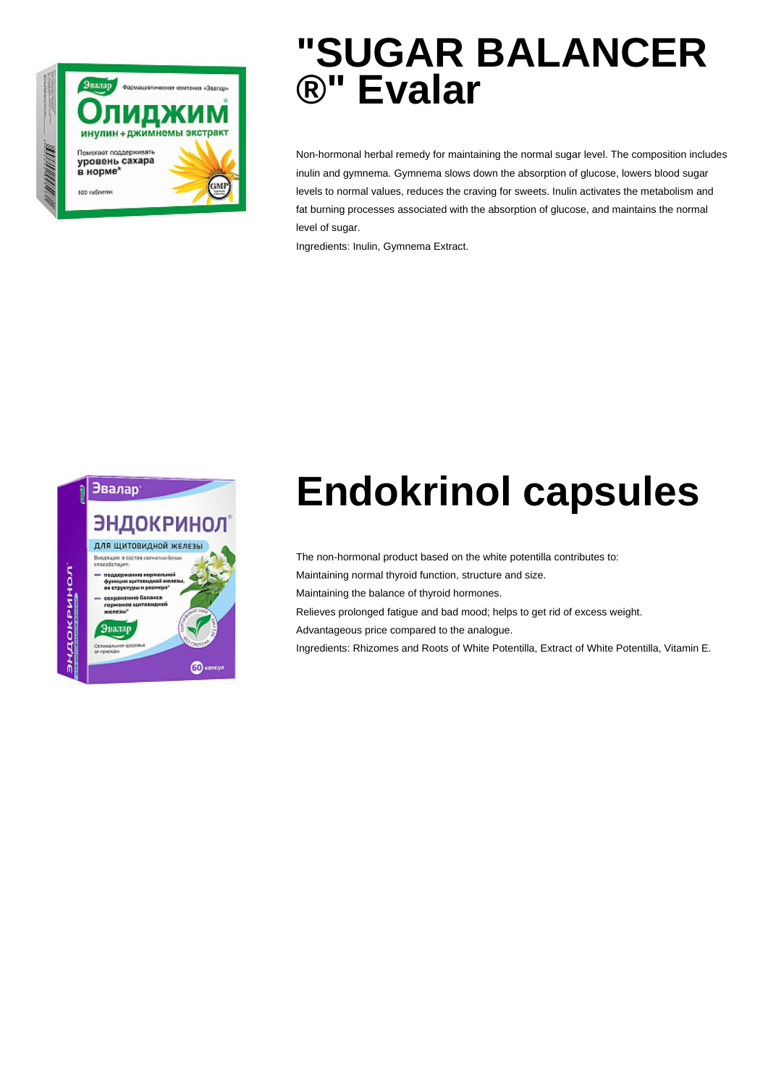

#### **"SUGAR BALANCER ®" Evalar**

Non-hormonal herbal remedy for maintaining the normal sugar level. The composition includes inulin and gymnema. Gymnema slows down the absorption of glucose, lowers blood sugar levels to normal values, reduces the craving for sweets. Inulin activates the metabolism and fat burning processes associated with the absorption of glucose, and maintains the normal level of sugar.

Ingredients: Inulin, Gymnema Extract.



### **Endokrinol capsules**

The non-hormonal product based on the white potentilla contributes to:

Maintaining normal thyroid function, structure and size.

Maintaining the balance of thyroid hormones.

Relieves prolonged fatigue and bad mood; helps to get rid of excess weight.

Advantageous price compared to the analogue.

Ingredients: Rhizomes and Roots of White Potentilla, Extract of White Potentilla, Vitamin E.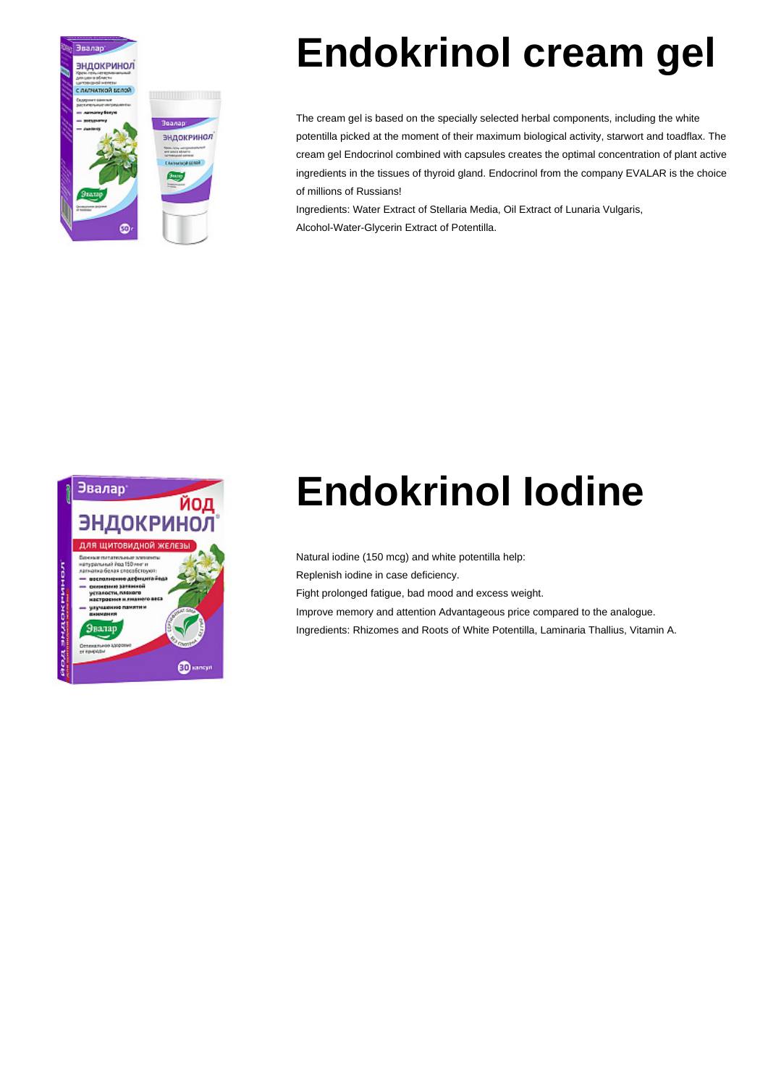

# **Endokrinol cream gel**

The cream gel is based on the specially selected herbal components, including the white potentilla picked at the moment of their maximum biological activity, starwort and toadflax. The cream gel Endocrinol combined with capsules creates the optimal concentration of plant active ingredients in the tissues of thyroid gland. Endocrinol from the company EVALAR is the choice of millions of Russians!

Ingredients: Water Extract of Stellaria Media, Oil Extract of Lunaria Vulgaris, Alcohol-Water-Glycerin Extract of Potentilla.



# **Endokrinol Iodine**

Natural iodine (150 mcg) and white potentilla help: Replenish iodine in case deficiency. Fight prolonged fatigue, bad mood and excess weight. Improve memory and attention Advantageous price compared to the analogue. Ingredients: Rhizomes and Roots of White Potentilla, Laminaria Thallius, Vitamin A.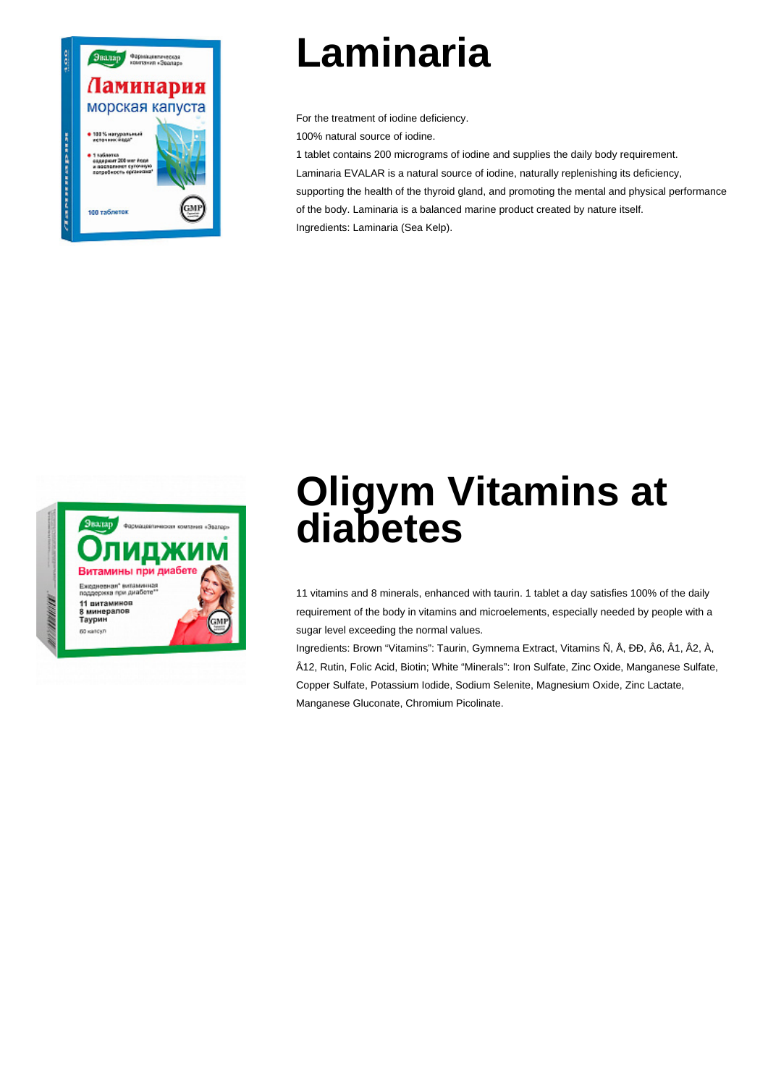

### **Laminaria**

For the treatment of iodine deficiency.

100% natural source of iodine.

1 tablet contains 200 micrograms of iodine and supplies the daily body requirement.

Laminaria EVALAR is a natural source of iodine, naturally replenishing its deficiency, supporting the health of the thyroid gland, and promoting the mental and physical performance of the body. Laminaria is a balanced marine product created by nature itself. Ingredients: Laminaria (Sea Kelp).



#### **Oligym Vitamins at diabetes**

11 vitamins and 8 minerals, enhanced with taurin. 1 tablet a day satisfies 100% of the daily requirement of the body in vitamins and microelements, especially needed by people with a sugar level exceeding the normal values.

Ingredients: Brown "Vitamins": Taurin, Gymnema Extract, Vitamins Ñ, Å, ÐÐ, Â6, Â1, Â2, À, Â12, Rutin, Folic Acid, Biotin; White "Minerals": Iron Sulfate, Zinc Oxide, Manganese Sulfate, Copper Sulfate, Potassium Iodide, Sodium Selenite, Magnesium Oxide, Zinc Lactate, Manganese Gluconate, Chromium Picolinate.